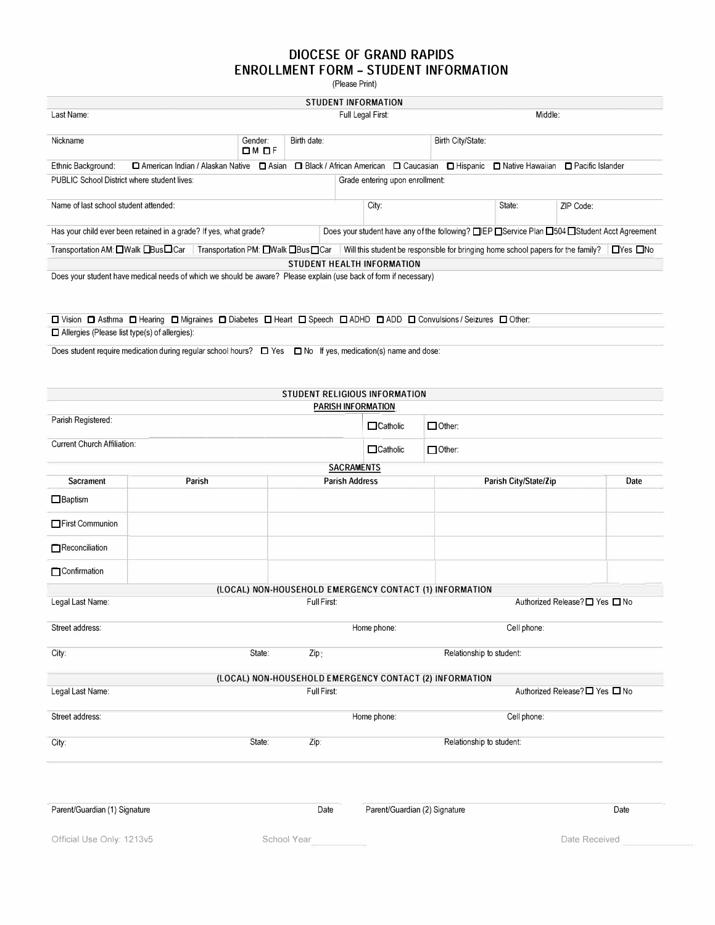## **DIOCESE OF GRAND RAPIDS ENROLLMENT FORM - STUDENT INFORMATION**

(Please Print)

|                                                                                                                                                                            |             |                      |                                    | STUDENT INFORMATION                                     |               |                                                                                                                                   |                                |      |  |  |  |  |
|----------------------------------------------------------------------------------------------------------------------------------------------------------------------------|-------------|----------------------|------------------------------------|---------------------------------------------------------|---------------|-----------------------------------------------------------------------------------------------------------------------------------|--------------------------------|------|--|--|--|--|
| Last Name:                                                                                                                                                                 |             | Full Legal First:    |                                    |                                                         | Middle:       |                                                                                                                                   |                                |      |  |  |  |  |
| Nickname                                                                                                                                                                   |             | Gender:<br>$DM$ $DF$ | Birth date:                        |                                                         |               | Birth City/State:                                                                                                                 |                                |      |  |  |  |  |
| Ethnic Background:                                                                                                                                                         |             |                      |                                    |                                                         |               | □ American Indian / Alaskan Native □ Asian □ Black / African American □ Caucasian □ Hispanic □ Native Hawaiian □ Pacific Islander |                                |      |  |  |  |  |
| PUBLIC School District where student lives:                                                                                                                                |             |                      |                                    | Grade entering upon enrollment:                         |               |                                                                                                                                   |                                |      |  |  |  |  |
| Name of last school student attended:                                                                                                                                      |             |                      |                                    | City:                                                   |               | State:                                                                                                                            | ZIP Code:                      |      |  |  |  |  |
| Has your child ever been retained in a grade? If yes, what grade?                                                                                                          |             |                      |                                    |                                                         |               | Does your student have any of the following? □IEP □Service Plan □504 □Student Acct Agreement                                      |                                |      |  |  |  |  |
| Transportation AM: □Walk □Bus□Car                                                                                                                                          |             |                      | Transportation PM: ■Walk ■Bus ■Car |                                                         |               | Will this student be responsible for bringing home school papers for the family? $\Box$ Yes $\Box$ No                             |                                |      |  |  |  |  |
| Does your student have medical needs of which we should be aware? Please explain (use back of form if necessary)                                                           |             |                      |                                    | STUDENT HEALTH INFORMATION                              |               |                                                                                                                                   |                                |      |  |  |  |  |
|                                                                                                                                                                            |             |                      |                                    |                                                         |               |                                                                                                                                   |                                |      |  |  |  |  |
| ロ Vision ロ Asthma ロ Hearing ロ Migraines ロ Diabetes ロ Heart ロ Speech ロ ADHD ロ ADD ロ Convulsions / Seizures ロ Other:<br>$\Box$ Allergies (Please list type(s) of allergies): |             |                      |                                    |                                                         |               |                                                                                                                                   |                                |      |  |  |  |  |
| Does student require medication during regular school hours? $\square$ Yes $\square$ No If yes, medication(s) name and dose:                                               |             |                      |                                    |                                                         |               |                                                                                                                                   |                                |      |  |  |  |  |
|                                                                                                                                                                            |             |                      |                                    |                                                         |               |                                                                                                                                   |                                |      |  |  |  |  |
|                                                                                                                                                                            |             |                      |                                    |                                                         |               |                                                                                                                                   |                                |      |  |  |  |  |
|                                                                                                                                                                            |             |                      |                                    | STUDENT RELIGIOUS INFORMATION<br>PARISH INFORMATION     |               |                                                                                                                                   |                                |      |  |  |  |  |
| Parish Registered:                                                                                                                                                         |             |                      |                                    | $\Box$ Catholic                                         | $\Box$ Other: |                                                                                                                                   |                                |      |  |  |  |  |
| <b>Current Church Affiliation:</b>                                                                                                                                         |             |                      |                                    | $\Box$ Catholic                                         | $\Box$ Other: |                                                                                                                                   |                                |      |  |  |  |  |
|                                                                                                                                                                            |             |                      |                                    | <b>SACRAMENTS</b>                                       |               |                                                                                                                                   |                                |      |  |  |  |  |
| <b>Sacrament</b>                                                                                                                                                           | Parish      |                      |                                    | <b>Parish Address</b>                                   |               | Parish City/State/Zip                                                                                                             |                                | Date |  |  |  |  |
| $\Box$ Baptism                                                                                                                                                             |             |                      |                                    |                                                         |               |                                                                                                                                   |                                |      |  |  |  |  |
| First Communion                                                                                                                                                            |             |                      |                                    |                                                         |               |                                                                                                                                   |                                |      |  |  |  |  |
| Reconciliation                                                                                                                                                             |             |                      |                                    |                                                         |               |                                                                                                                                   |                                |      |  |  |  |  |
| <b>Confirmation</b>                                                                                                                                                        |             |                      |                                    |                                                         |               |                                                                                                                                   |                                |      |  |  |  |  |
|                                                                                                                                                                            |             |                      |                                    | (LOCAL) NON-HOUSEHOLD EMERGENCY CONTACT (1) INFORMATION |               |                                                                                                                                   |                                |      |  |  |  |  |
| Legal Last Name:                                                                                                                                                           | Full First: |                      |                                    |                                                         |               |                                                                                                                                   | Authorized Release? □ Yes □ No |      |  |  |  |  |
| Street address:                                                                                                                                                            |             |                      |                                    | Home phone:                                             |               | Cell phone:                                                                                                                       |                                |      |  |  |  |  |
| City:                                                                                                                                                                      |             | State:               | Zip:                               |                                                         |               | Relationship to student:                                                                                                          |                                |      |  |  |  |  |
|                                                                                                                                                                            |             |                      |                                    | (LOCAL) NON-HOUSEHOLD EMERGENCY CONTACT (2) INFORMATION |               |                                                                                                                                   |                                |      |  |  |  |  |
| Legal Last Name:                                                                                                                                                           |             |                      | Full First:                        |                                                         |               |                                                                                                                                   | Authorized Release?□ Yes □ No  |      |  |  |  |  |
| Street address:                                                                                                                                                            |             |                      |                                    | Home phone:                                             |               | Cell phone:                                                                                                                       |                                |      |  |  |  |  |
| City:                                                                                                                                                                      |             | State:               | Zip:                               |                                                         |               | Relationship to student:                                                                                                          |                                |      |  |  |  |  |
|                                                                                                                                                                            |             |                      |                                    |                                                         |               |                                                                                                                                   |                                |      |  |  |  |  |
|                                                                                                                                                                            |             |                      |                                    |                                                         |               |                                                                                                                                   |                                |      |  |  |  |  |
| Parent/Guardian (1) Signature                                                                                                                                              |             |                      | Date                               | Parent/Guardian (2) Signature                           |               |                                                                                                                                   |                                | Date |  |  |  |  |